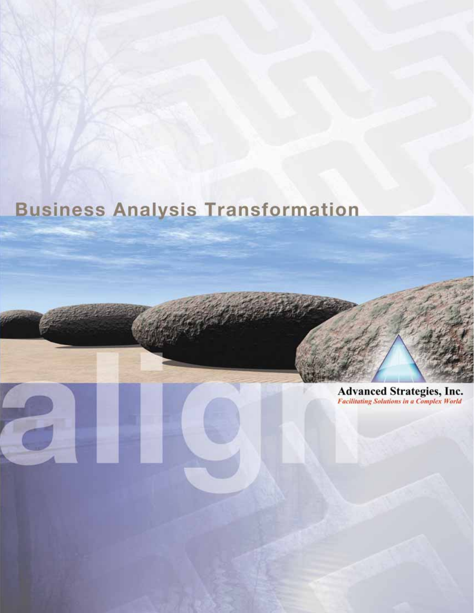# **Business Analysis Transformation**

**Advanced Strategies, Inc.**<br>Facilitating Solutions in a Complex World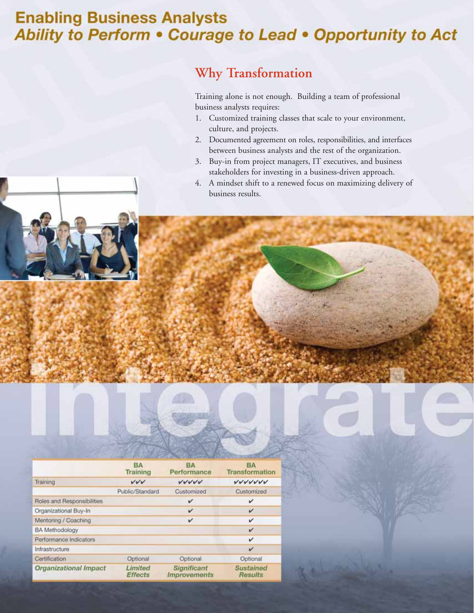### **Enabling Business Analysts** Ability to Perform . Courage to Lead . Opportunity to Act

### **Why Transformation**

Training alone is not enough. Building a team of professional business analysts requires:

- 1. Customized training classes that scale to your environment, culture, and projects.
- 2. Documented agreement on roles, responsibilities, and interfaces between business analysts and the rest of the organization.
- 3. Buy-in from project managers, IT executives, and business stakeholders for investing in a business-driven approach.
- 4. A mindset shift to a renewed focus on maximizing delivery of business results.

|                              | AND HER COMPANY OF THE COMPANY OF THE PRESS OF THE COMPANY OF THE COMPANY OF THE COMPANY OF THE COMPANY OF THE COMPANY OF THE COMPANY OF THE COMPANY OF THE COMPANY OF THE COMPANY OF THE COMPANY OF THE COMPANY OF THE COMPAN |                                                  |                                    |
|------------------------------|--------------------------------------------------------------------------------------------------------------------------------------------------------------------------------------------------------------------------------|--------------------------------------------------|------------------------------------|
|                              | <b>BA</b><br>Training                                                                                                                                                                                                          | BА<br>Performance                                | <b>BA</b><br><b>Transformation</b> |
| Training                     | VVV                                                                                                                                                                                                                            | VUVV                                             | VVVVVV                             |
|                              | Public/Standard                                                                                                                                                                                                                | Customized                                       | Customized                         |
| Roles and Responsibilities   |                                                                                                                                                                                                                                | v                                                | v                                  |
| Organizational Buy-In        |                                                                                                                                                                                                                                | v                                                | v                                  |
| Mentoring / Coaching         |                                                                                                                                                                                                                                | v                                                | v                                  |
| <b>BA</b> Methodology        |                                                                                                                                                                                                                                |                                                  | V                                  |
| Performance Indicators       |                                                                                                                                                                                                                                |                                                  | v                                  |
| Infrastructure               |                                                                                                                                                                                                                                |                                                  | v                                  |
| Certification                | Optional                                                                                                                                                                                                                       | Optional                                         | Optional                           |
| <b>Organizational Impact</b> | Limited<br><b>Effects</b>                                                                                                                                                                                                      | <b>Significant</b><br><i><b>Improvements</b></i> | <b>Sustained</b><br>Results        |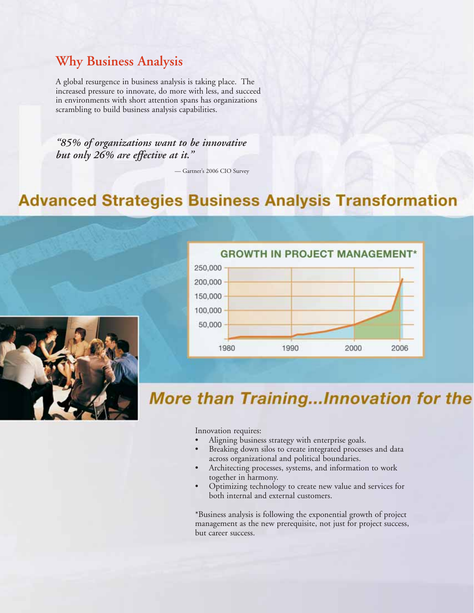#### **Why Business Analysis**

A global resurgence in business analysis is taking place. The increased pressure to innovate, do more with less, and succeed in environments with short attention spans has organizations scrambling to build business analysis capabilities.

*"85% of organizations want to be innovative but only 26% are effective at it."*

— Gartner's 2006 CIO Survey

### **Advanced Strategies Business Analysis Transformation**



**GROWTH IN PROJECT MANAGEMENT\*** 250,000 200,000 150,000 100,000 50,000 1980 1990 2000 2006

## **More than Training...Innovation for the**

Innovation requires:

- Aligning business strategy with enterprise goals.
- Breaking down silos to create integrated processes and data across organizational and political boundaries.
- Architecting processes, systems, and information to work together in harmony.
- Optimizing technology to create new value and services for both internal and external customers.

\*Business analysis is following the exponential growth of project management as the new prerequisite, not just for project success, but career success.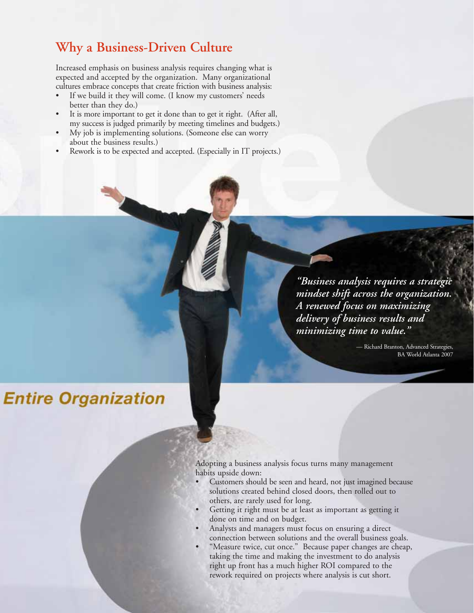#### **Why a Business-Driven Culture**

Increased emphasis on business analysis requires changing what is expected and accepted by the organization. Many organizational cultures embrace concepts that create friction with business analysis:

- If we build it they will come. (I know my customers' needs better than they do.)
- It is more important to get it done than to get it right. (After all, my success is judged primarily by meeting timelines and budgets.)
- My job is implementing solutions. (Someone else can worry about the business results.)
- Rework is to be expected and accepted. (Especially in IT projects.)

*"Business analysis requires a strategic mindset shift across the organization. A renewed focus on maximizing delivery of business results and minimizing time to value."*

> — Richard Branton, Advanced Strategies, BA World Atlanta 2007

## **Entire Organization**

Adopting a business analysis focus turns many management habits upside down:

- Customers should be seen and heard, not just imagined because solutions created behind closed doors, then rolled out to others, are rarely used for long.
- Getting it right must be at least as important as getting it done on time and on budget.
- Analysts and managers must focus on ensuring a direct connection between solutions and the overall business goals.
- "Measure twice, cut once." Because paper changes are cheap, taking the time and making the investment to do analysis right up front has a much higher ROI compared to the rework required on projects where analysis is cut short.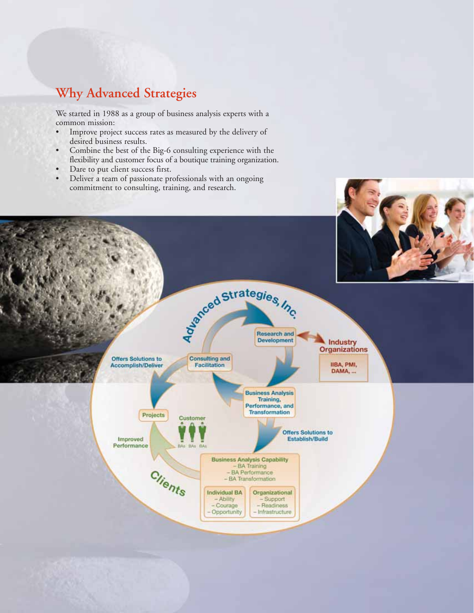### **Why Advanced Strategies**

We started in 1988 as a group of business analysis experts with a common mission:

- Improve project success rates as measured by the delivery of desired business results.
- Combine the best of the Big-6 consulting experience with the flexibility and customer focus of a boutique training organization.
- Dare to put client success first.
- Deliver a team of passionate professionals with an ongoing commitment to consulting, training, and research.